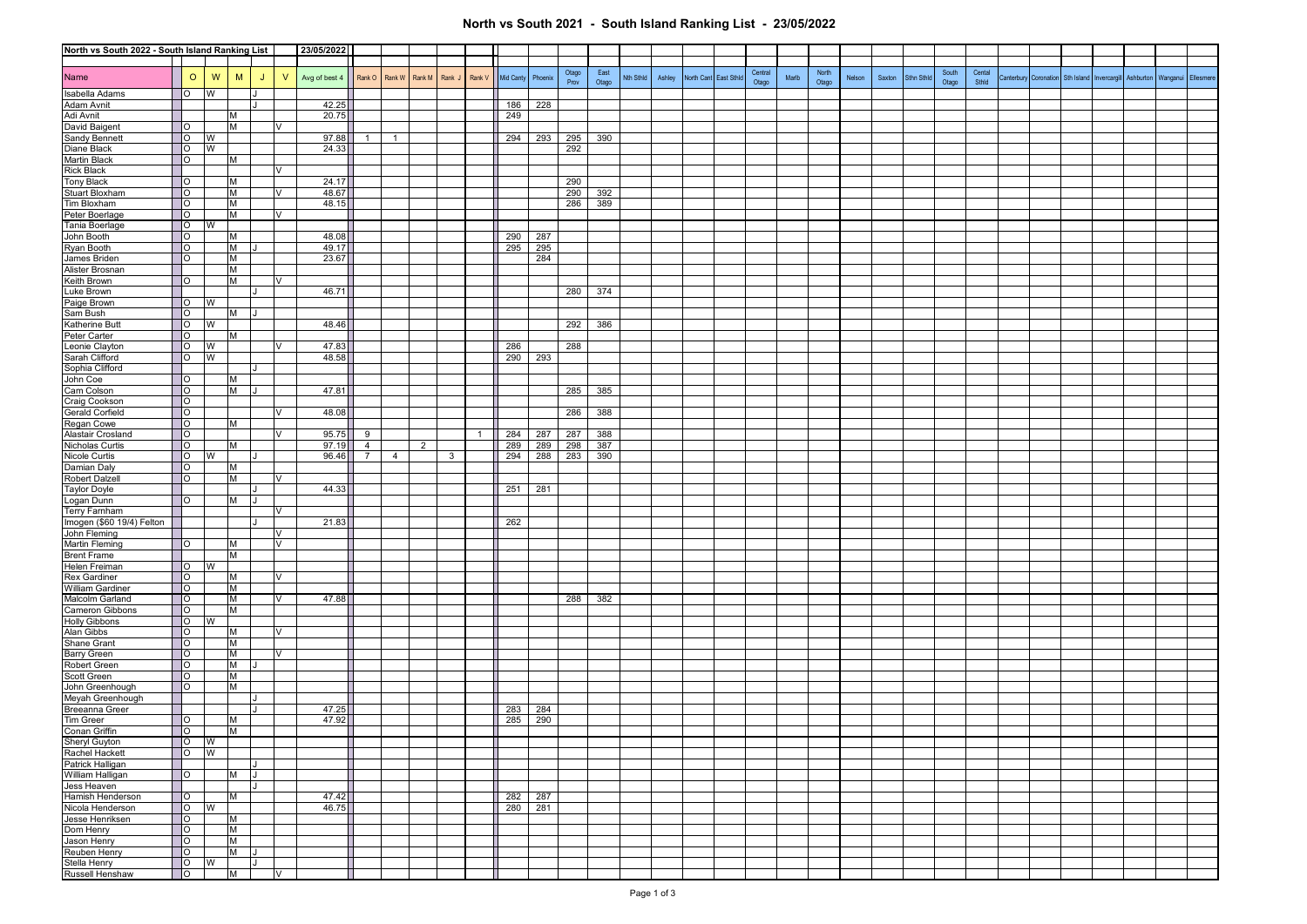## **North vs South 2021 - South Island Ranking List - 23/05/2022**

| North vs South 2022 - South Island Ranking List  |                          |   |        |    |           | 23/05/2022    |                |                |        |              |              |            |            |               |               |           |        |            |            |                  |       |                |        |        |            |                |                 |                       |            |              |           |          |           |
|--------------------------------------------------|--------------------------|---|--------|----|-----------|---------------|----------------|----------------|--------|--------------|--------------|------------|------------|---------------|---------------|-----------|--------|------------|------------|------------------|-------|----------------|--------|--------|------------|----------------|-----------------|-----------------------|------------|--------------|-----------|----------|-----------|
|                                                  |                          |   |        |    |           |               |                |                |        |              |              |            |            |               |               |           |        |            |            |                  |       |                |        |        |            |                |                 |                       |            |              |           |          |           |
| Name                                             | $\circ$                  | W | M      | J  | $\vee$    | Avg of best 4 |                | Rank O Rank W  | Rank M | Rank J       | Rank V       | Mid Canty  | Phoenix    | Otago<br>Prov | East<br>Otago | Nth Sthld | Ashley | North Cant | East Sthic | Central<br>Otago | Marlb | North<br>Otago | Nelson | Saxton | Sthn Sthld | South<br>Otago | Cental<br>Sthld | Canterbury Coronation | Sth Island | Invercargill | Ashburton | Wanganui | Ellesmere |
| Isabella Adams                                   | lo                       | W |        |    |           |               |                |                |        |              |              |            |            |               |               |           |        |            |            |                  |       |                |        |        |            |                |                 |                       |            |              |           |          |           |
| Adam Avnit                                       |                          |   |        |    |           | 42.25         |                |                |        |              |              | 186        | 228        |               |               |           |        |            |            |                  |       |                |        |        |            |                |                 |                       |            |              |           |          |           |
| Adi Avnit                                        |                          |   | M      |    |           | 20.75         |                |                |        |              |              | 249        |            |               |               |           |        |            |            |                  |       |                |        |        |            |                |                 |                       |            |              |           |          |           |
| David Baigent                                    | lo                       |   | M      |    | V         |               |                |                |        |              |              |            |            |               |               |           |        |            |            |                  |       |                |        |        |            |                |                 |                       |            |              |           |          |           |
| Sandy Bennett                                    | $\overline{O}$           | W |        |    |           | 97.88         | 1              | $\overline{1}$ |        |              |              | 294        | 293        | 295           | 390           |           |        |            |            |                  |       |                |        |        |            |                |                 |                       |            |              |           |          |           |
| Diane Black                                      | $\overline{O}$           | W |        |    |           | 24.33         |                |                |        |              |              |            |            | 292           |               |           |        |            |            |                  |       |                |        |        |            |                |                 |                       |            |              |           |          |           |
| <b>Martin Black</b>                              | $ 0\rangle$              |   | M      |    |           |               |                |                |        |              |              |            |            |               |               |           |        |            |            |                  |       |                |        |        |            |                |                 |                       |            |              |           |          |           |
| <b>Rick Black</b>                                |                          |   |        |    |           |               |                |                |        |              |              |            |            |               |               |           |        |            |            |                  |       |                |        |        |            |                |                 |                       |            |              |           |          |           |
| <b>Tony Black</b>                                | $\overline{\phantom{0}}$ |   | M      |    |           | 24.17         |                |                |        |              |              |            |            | 290           |               |           |        |            |            |                  |       |                |        |        |            |                |                 |                       |            |              |           |          |           |
| Stuart Bloxham                                   | $\overline{O}$           |   | M      |    | V         | 48.67         |                |                |        |              |              |            |            | 290           | 392           |           |        |            |            |                  |       |                |        |        |            |                |                 |                       |            |              |           |          |           |
| Tim Bloxham                                      | $\overline{O}$           |   | M      |    |           | 48.15         |                |                |        |              |              |            |            | 286           | 389           |           |        |            |            |                  |       |                |        |        |            |                |                 |                       |            |              |           |          |           |
| Peter Boerlage                                   | $\circ$                  |   | M      |    | V         |               |                |                |        |              |              |            |            |               |               |           |        |            |            |                  |       |                |        |        |            |                |                 |                       |            |              |           |          |           |
| Tania Boerlage                                   | $\overline{O}$           | W |        |    |           |               |                |                |        |              |              |            |            |               |               |           |        |            |            |                  |       |                |        |        |            |                |                 |                       |            |              |           |          |           |
| John Booth                                       | $\overline{O}$           |   | M      |    |           | 48.08         |                |                |        |              |              | 290        | 287        |               |               |           |        |            |            |                  |       |                |        |        |            |                |                 |                       |            |              |           |          |           |
| Ryan Booth                                       | $\circ$<br>lo            |   | M<br>M |    |           | 49.17         |                |                |        |              |              | 295        | 295        |               |               |           |        |            |            |                  |       |                |        |        |            |                |                 |                       |            |              |           |          |           |
| James Briden<br>Alister Brosnan                  |                          |   | M      |    |           | 23.67         |                |                |        |              |              |            | 284        |               |               |           |        |            |            |                  |       |                |        |        |            |                |                 |                       |            |              |           |          |           |
| Keith Brown                                      | $\overline{O}$           |   | M      |    | $\sqrt{}$ |               |                |                |        |              |              |            |            |               |               |           |        |            |            |                  |       |                |        |        |            |                |                 |                       |            |              |           |          |           |
| Luke Brown                                       |                          |   |        |    |           | 46.71         |                |                |        |              |              |            |            | 280           | 374           |           |        |            |            |                  |       |                |        |        |            |                |                 |                       |            |              |           |          |           |
| Paige Brown                                      | $\overline{O}$           | W |        |    |           |               |                |                |        |              |              |            |            |               |               |           |        |            |            |                  |       |                |        |        |            |                |                 |                       |            |              |           |          |           |
| Sam Bush                                         | $\circ$                  |   | M      | IJ |           |               |                |                |        |              |              |            |            |               |               |           |        |            |            |                  |       |                |        |        |            |                |                 |                       |            |              |           |          |           |
| Katherine Butt                                   | $ 0\rangle$              | W |        |    |           | 48.46         |                |                |        |              |              |            |            | 292           | 386           |           |        |            |            |                  |       |                |        |        |            |                |                 |                       |            |              |           |          |           |
| Peter Carter                                     | $\circ$                  |   | M      |    |           |               |                |                |        |              |              |            |            |               |               |           |        |            |            |                  |       |                |        |        |            |                |                 |                       |            |              |           |          |           |
| Leonie Clayton                                   | <b>IO</b>                | W |        |    | v         | 47.83         |                |                |        |              |              | 286        |            | 288           |               |           |        |            |            |                  |       |                |        |        |            |                |                 |                       |            |              |           |          |           |
| Sarah Clifford                                   | $\overline{O}$           | W |        |    |           | 48.58         |                |                |        |              |              | 290        | 293        |               |               |           |        |            |            |                  |       |                |        |        |            |                |                 |                       |            |              |           |          |           |
| Sophia Clifford                                  |                          |   |        |    |           |               |                |                |        |              |              |            |            |               |               |           |        |            |            |                  |       |                |        |        |            |                |                 |                       |            |              |           |          |           |
| John Coe                                         | $\overline{O}$           |   | M      |    |           |               |                |                |        |              |              |            |            |               |               |           |        |            |            |                  |       |                |        |        |            |                |                 |                       |            |              |           |          |           |
| Cam Colson                                       | $\overline{O}$           |   | M      |    |           | 47.81         |                |                |        |              |              |            |            | 285           | 385           |           |        |            |            |                  |       |                |        |        |            |                |                 |                       |            |              |           |          |           |
| Craig Cookson<br>Gerald Corfield<br>Regan Cowe   | $\circ$                  |   |        |    |           |               |                |                |        |              |              |            |            |               |               |           |        |            |            |                  |       |                |        |        |            |                |                 |                       |            |              |           |          |           |
|                                                  | $\overline{O}$           |   |        |    |           | 48.08         |                |                |        |              |              |            |            | 286           | 388           |           |        |            |            |                  |       |                |        |        |            |                |                 |                       |            |              |           |          |           |
|                                                  | $\overline{O}$           |   | M      |    |           |               |                |                |        |              |              |            |            |               |               |           |        |            |            |                  |       |                |        |        |            |                |                 |                       |            |              |           |          |           |
| Alastair Crosland                                | $\overline{O}$           |   |        |    | V         | 95.75         | 9              |                |        |              | $\mathbf{1}$ | 284        | 287        | 287           | 388           |           |        |            |            |                  |       |                |        |        |            |                |                 |                       |            |              |           |          |           |
| Nicholas Curtis                                  | $\circ$                  |   | M      |    |           | 97.19         | $\overline{4}$ |                | 2      |              |              | 289        | 289        | 298           | 387           |           |        |            |            |                  |       |                |        |        |            |                |                 |                       |            |              |           |          |           |
| Nicole Curtis                                    | $\overline{\phantom{0}}$ | W |        |    |           | 96.46         | <b>7</b> I     | $\overline{4}$ |        | $\mathbf{3}$ |              | 294        | 288        | 283           | 390           |           |        |            |            |                  |       |                |        |        |            |                |                 |                       |            |              |           |          |           |
| Damian Daly<br><b>Robert Dalzell</b>             | lo.<br>$\circ$           |   | M<br>M |    | v         |               |                |                |        |              |              |            |            |               |               |           |        |            |            |                  |       |                |        |        |            |                |                 |                       |            |              |           |          |           |
| <b>Taylor Doyle</b>                              |                          |   |        |    |           | 44.33         |                |                |        |              |              | 251        | 281        |               |               |           |        |            |            |                  |       |                |        |        |            |                |                 |                       |            |              |           |          |           |
| Logan Dunn                                       | lo                       |   | M      |    |           |               |                |                |        |              |              |            |            |               |               |           |        |            |            |                  |       |                |        |        |            |                |                 |                       |            |              |           |          |           |
| <b>Terry Farnham</b>                             |                          |   |        |    |           |               |                |                |        |              |              |            |            |               |               |           |        |            |            |                  |       |                |        |        |            |                |                 |                       |            |              |           |          |           |
| Imogen (\$60 19/4) Felton                        |                          |   |        |    |           | 21.83         |                |                |        |              |              | 262        |            |               |               |           |        |            |            |                  |       |                |        |        |            |                |                 |                       |            |              |           |          |           |
| John Fleming                                     |                          |   |        |    |           |               |                |                |        |              |              |            |            |               |               |           |        |            |            |                  |       |                |        |        |            |                |                 |                       |            |              |           |          |           |
| <b>Martin Fleming</b>                            | $\overline{O}$           |   | M      |    | <b>V</b>  |               |                |                |        |              |              |            |            |               |               |           |        |            |            |                  |       |                |        |        |            |                |                 |                       |            |              |           |          |           |
| <b>Brent Frame</b>                               |                          |   | M      |    |           |               |                |                |        |              |              |            |            |               |               |           |        |            |            |                  |       |                |        |        |            |                |                 |                       |            |              |           |          |           |
| Helen Freiman                                    | <b>l</b> o               | W |        |    |           |               |                |                |        |              |              |            |            |               |               |           |        |            |            |                  |       |                |        |        |            |                |                 |                       |            |              |           |          |           |
| Rex Gardiner                                     | $\overline{\phantom{0}}$ |   | M      |    | V         |               |                |                |        |              |              |            |            |               |               |           |        |            |            |                  |       |                |        |        |            |                |                 |                       |            |              |           |          |           |
| <b>William Gardiner</b>                          | lo                       |   | M      |    |           |               |                |                |        |              |              |            |            |               |               |           |        |            |            |                  |       |                |        |        |            |                |                 |                       |            |              |           |          |           |
| Malcolm Garland                                  | $\overline{O}$           |   | M      |    | V         | 47.88         |                |                |        |              |              |            |            | 288           | 382           |           |        |            |            |                  |       |                |        |        |            |                |                 |                       |            |              |           |          |           |
| Cameron Gibbons                                  | $\overline{O}$           |   | M      |    |           |               |                |                |        |              |              |            |            |               |               |           |        |            |            |                  |       |                |        |        |            |                |                 |                       |            |              |           |          |           |
| <b>Holly Gibbons</b>                             | $\overline{O}$           | W |        |    |           |               |                |                |        |              |              |            |            |               |               |           |        |            |            |                  |       |                |        |        |            |                |                 |                       |            |              |           |          |           |
| Alan Gibbs                                       | $\circ$                  |   | М      |    | V         |               |                |                |        |              |              |            |            |               |               |           |        |            |            |                  |       |                |        |        |            |                |                 |                       |            |              |           |          |           |
| Shane Grant<br>Barry Green                       | lo                       |   | M      |    |           |               |                |                |        |              |              |            |            |               |               |           |        |            |            |                  |       |                |        |        |            |                |                 |                       |            |              |           |          |           |
|                                                  | lo                       |   | M      |    | v         |               |                |                |        |              |              |            |            |               |               |           |        |            |            |                  |       |                |        |        |            |                |                 |                       |            |              |           |          |           |
| Robert Green                                     | $\circ$                  |   | M      |    |           |               |                |                |        |              |              |            |            |               |               |           |        |            |            |                  |       |                |        |        |            |                |                 |                       |            |              |           |          |           |
| Scott Green                                      | $\overline{O}$           |   | M      |    |           |               |                |                |        |              |              |            |            |               |               |           |        |            |            |                  |       |                |        |        |            |                |                 |                       |            |              |           |          |           |
| John Greenhough                                  | lo                       |   | M      |    |           |               |                |                |        |              |              |            |            |               |               |           |        |            |            |                  |       |                |        |        |            |                |                 |                       |            |              |           |          |           |
| Meyah Greenhough<br>Breeanna Greer               |                          |   |        |    |           | 47.25         |                |                |        |              |              |            |            |               |               |           |        |            |            |                  |       |                |        |        |            |                |                 |                       |            |              |           |          |           |
| Tim Greer                                        | $ 0\rangle$              |   | M      |    |           | 47.92         |                |                |        |              |              | 283<br>285 | 284<br>290 |               |               |           |        |            |            |                  |       |                |        |        |            |                |                 |                       |            |              |           |          |           |
|                                                  | $\overline{\phantom{a}}$ |   | M      |    |           |               |                |                |        |              |              |            |            |               |               |           |        |            |            |                  |       |                |        |        |            |                |                 |                       |            |              |           |          |           |
|                                                  | $\overline{\circ}$       | W |        |    |           |               |                |                |        |              |              |            |            |               |               |           |        |            |            |                  |       |                |        |        |            |                |                 |                       |            |              |           |          |           |
| Conan Griffin<br>Sheryl Guyton<br>Rachel Hackett | $\overline{\circ}$       | S |        |    |           |               |                |                |        |              |              |            |            |               |               |           |        |            |            |                  |       |                |        |        |            |                |                 |                       |            |              |           |          |           |
| Patrick Halligan                                 |                          |   |        |    |           |               |                |                |        |              |              |            |            |               |               |           |        |            |            |                  |       |                |        |        |            |                |                 |                       |            |              |           |          |           |
| William Halligan                                 | $\overline{O}$           |   | M      | LГ |           |               |                |                |        |              |              |            |            |               |               |           |        |            |            |                  |       |                |        |        |            |                |                 |                       |            |              |           |          |           |
|                                                  |                          |   |        |    |           |               |                |                |        |              |              |            |            |               |               |           |        |            |            |                  |       |                |        |        |            |                |                 |                       |            |              |           |          |           |
| Jess Heaven<br>Hamish Henderson                  | $\circ$                  |   | M      |    |           | 47.42         |                |                |        |              |              | 282        | 287        |               |               |           |        |            |            |                  |       |                |        |        |            |                |                 |                       |            |              |           |          |           |
| Nicola Henderson                                 | $ 0\rangle$              | W |        |    |           | 46.75         |                |                |        |              |              | 280        | 281        |               |               |           |        |            |            |                  |       |                |        |        |            |                |                 |                       |            |              |           |          |           |
| Jesse Henriksen                                  | $\overline{\phantom{0}}$ |   | M      |    |           |               |                |                |        |              |              |            |            |               |               |           |        |            |            |                  |       |                |        |        |            |                |                 |                       |            |              |           |          |           |
| Dom Henry                                        | $\overline{O}$           |   | M      |    |           |               |                |                |        |              |              |            |            |               |               |           |        |            |            |                  |       |                |        |        |            |                |                 |                       |            |              |           |          |           |
| Jason Henry<br>Reuben Henry                      | $\overline{O}$           |   | M      |    |           |               |                |                |        |              |              |            |            |               |               |           |        |            |            |                  |       |                |        |        |            |                |                 |                       |            |              |           |          |           |
|                                                  | $\overline{O}$           |   | M      |    |           |               |                |                |        |              |              |            |            |               |               |           |        |            |            |                  |       |                |        |        |            |                |                 |                       |            |              |           |          |           |
| Stella Henry<br>Russell Henshaw                  | $\overline{\phantom{a}}$ | W |        |    |           |               |                |                |        |              |              |            |            |               |               |           |        |            |            |                  |       |                |        |        |            |                |                 |                       |            |              |           |          |           |
|                                                  | $\overline{\phantom{a}}$ |   | M      |    | IV        |               |                |                |        |              |              |            |            |               |               |           |        |            |            |                  |       |                |        |        |            |                |                 |                       |            |              |           |          |           |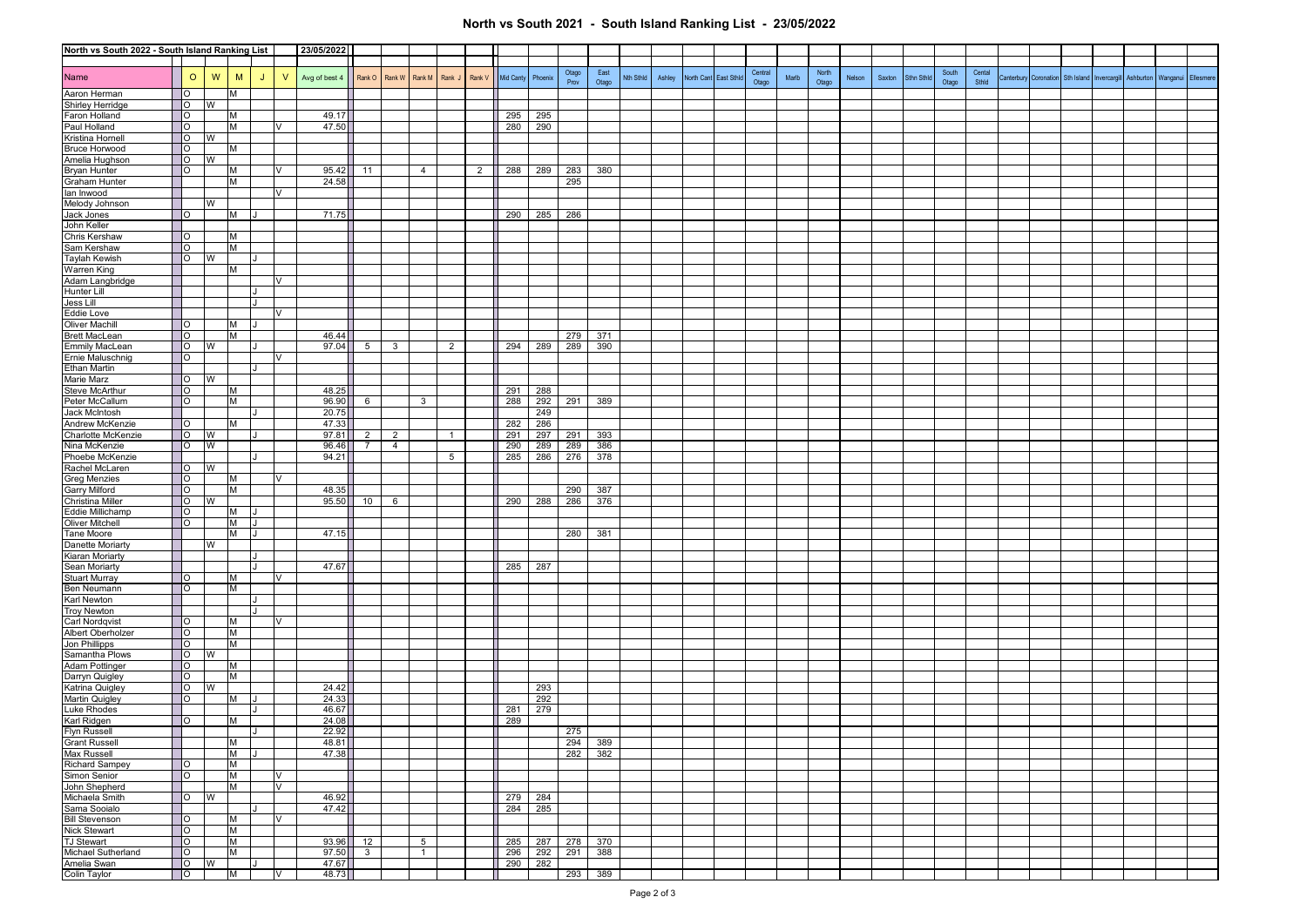## **North vs South 2021 - South Island Ranking List - 23/05/2022**

| North vs South 2022 - South Island Ranking List |                                  |         |   |        | 23/05/2022 |               |                |                |                |                |                |             |            |            |            |         |           |        |            |            |         |       |       |        |        |            |       |        |                       |            |              |           |                    |  |
|-------------------------------------------------|----------------------------------|---------|---|--------|------------|---------------|----------------|----------------|----------------|----------------|----------------|-------------|------------|------------|------------|---------|-----------|--------|------------|------------|---------|-------|-------|--------|--------|------------|-------|--------|-----------------------|------------|--------------|-----------|--------------------|--|
| Name                                            |                                  | $\circ$ | W | M      | J          | $\mathsf{V}$  | Avg of best 4  | Rank O         | Rank W         | Rank M         | Rank J         | Rank V      | Mid Canty  | Phoenix    | Otago      | East    | Nth Sthid | Ashley | North Cant | East Sthlo | Central | Marlb | North | Nelson | Saxton | Sthn Sthld | South | Cental | Canterbury Coronation | Sth Island | Invercargill | Ashburton | Wanganui Ellesmere |  |
| Aaron Herman                                    | lo                               |         |   | M      |            |               |                |                |                |                |                |             |            |            | Prov       | Otago   |           |        |            |            | Otago   |       | Otago |        |        |            | Otago | Sthid  |                       |            |              |           |                    |  |
| Shirley Herridge                                | $\overline{O}$                   |         | W |        |            |               |                |                |                |                |                |             |            |            |            |         |           |        |            |            |         |       |       |        |        |            |       |        |                       |            |              |           |                    |  |
| Faron Holland                                   | $\overline{O}$                   |         |   | M      |            |               | 49.17          |                |                |                |                |             | 295        | 295        |            |         |           |        |            |            |         |       |       |        |        |            |       |        |                       |            |              |           |                    |  |
| Paul Holland                                    | lo                               |         |   | M      |            |               | 47.50          |                |                |                |                |             | 280        | 290        |            |         |           |        |            |            |         |       |       |        |        |            |       |        |                       |            |              |           |                    |  |
| Kristina Hornell                                | $\overline{O}$                   |         | W |        |            |               |                |                |                |                |                |             |            |            |            |         |           |        |            |            |         |       |       |        |        |            |       |        |                       |            |              |           |                    |  |
| <b>Bruce Horwood</b>                            | <b>IO</b>                        |         |   | M      |            |               |                |                |                |                |                |             |            |            |            |         |           |        |            |            |         |       |       |        |        |            |       |        |                       |            |              |           |                    |  |
| Amelia Hughson<br><b>Bryan Hunter</b>           | $\overline{O}$<br>$\overline{O}$ |         | W | м      |            | v             | 95.42          | 11             |                | 4              |                | $2^{\circ}$ | 288        | 289        | 283        | 380     |           |        |            |            |         |       |       |        |        |            |       |        |                       |            |              |           |                    |  |
| Graham Hunter                                   |                                  |         |   | M      |            |               | 24.58          |                |                |                |                |             |            |            | 295        |         |           |        |            |            |         |       |       |        |        |            |       |        |                       |            |              |           |                    |  |
| lan Inwood                                      |                                  |         |   |        |            | V             |                |                |                |                |                |             |            |            |            |         |           |        |            |            |         |       |       |        |        |            |       |        |                       |            |              |           |                    |  |
| Melody Johnson                                  |                                  |         | W |        |            |               |                |                |                |                |                |             |            |            |            |         |           |        |            |            |         |       |       |        |        |            |       |        |                       |            |              |           |                    |  |
| Jack Jones                                      | $\overline{O}$                   |         |   | M      |            |               | 71.75          |                |                |                |                |             | 290        | 285        | 286        |         |           |        |            |            |         |       |       |        |        |            |       |        |                       |            |              |           |                    |  |
| John Keller                                     |                                  |         |   |        |            |               |                |                |                |                |                |             |            |            |            |         |           |        |            |            |         |       |       |        |        |            |       |        |                       |            |              |           |                    |  |
| Chris Kershaw                                   | $\overline{O}$                   |         |   | M      |            |               |                |                |                |                |                |             |            |            |            |         |           |        |            |            |         |       |       |        |        |            |       |        |                       |            |              |           |                    |  |
| Sam Kershaw<br><b>Taylah Kewish</b>             | IО<br>$\overline{O}$             |         | W | M      |            |               |                |                |                |                |                |             |            |            |            |         |           |        |            |            |         |       |       |        |        |            |       |        |                       |            |              |           |                    |  |
| Warren King                                     |                                  |         |   | M      |            |               |                |                |                |                |                |             |            |            |            |         |           |        |            |            |         |       |       |        |        |            |       |        |                       |            |              |           |                    |  |
| Adam Langbridge                                 |                                  |         |   |        |            |               |                |                |                |                |                |             |            |            |            |         |           |        |            |            |         |       |       |        |        |            |       |        |                       |            |              |           |                    |  |
| Hunter Lill                                     |                                  |         |   |        |            |               |                |                |                |                |                |             |            |            |            |         |           |        |            |            |         |       |       |        |        |            |       |        |                       |            |              |           |                    |  |
| Jess Lill                                       |                                  |         |   |        | l t        |               |                |                |                |                |                |             |            |            |            |         |           |        |            |            |         |       |       |        |        |            |       |        |                       |            |              |           |                    |  |
| Eddie Love                                      |                                  |         |   |        |            | V             |                |                |                |                |                |             |            |            |            |         |           |        |            |            |         |       |       |        |        |            |       |        |                       |            |              |           |                    |  |
| <b>Oliver Machill</b><br><b>Brett MacLean</b>   | $\overline{\phantom{a}}$<br>lo   |         |   | M<br>M |            |               | 46.44          |                |                |                |                |             |            |            | 279        | 371     |           |        |            |            |         |       |       |        |        |            |       |        |                       |            |              |           |                    |  |
| <b>Emmily MacLean</b>                           | $\overline{O}$                   |         | W |        |            |               | 97.04          | $5^{\circ}$    | 3              |                | $\overline{2}$ |             | 294        | 289        | 289        | 390     |           |        |            |            |         |       |       |        |        |            |       |        |                       |            |              |           |                    |  |
| Ernie Maluschnig                                | $\overline{O}$                   |         |   |        |            | V             |                |                |                |                |                |             |            |            |            |         |           |        |            |            |         |       |       |        |        |            |       |        |                       |            |              |           |                    |  |
| <b>Ethan Martin</b>                             |                                  |         |   |        |            |               |                |                |                |                |                |             |            |            |            |         |           |        |            |            |         |       |       |        |        |            |       |        |                       |            |              |           |                    |  |
| Marie Marz                                      | <b>IO</b>                        |         | W |        |            |               |                |                |                |                |                |             |            |            |            |         |           |        |            |            |         |       |       |        |        |            |       |        |                       |            |              |           |                    |  |
| Steve McArthur                                  | $\overline{O}$                   |         |   | M      |            |               | 48.25          |                |                |                |                |             | 291        | 288        |            |         |           |        |            |            |         |       |       |        |        |            |       |        |                       |            |              |           |                    |  |
| Peter McCallum<br>Jack McIntosh                 | lo                               |         |   | M      |            |               | 96.90          | 6              |                | $\mathbf{3}$   |                |             | 288        | 292        | 291        | 389     |           |        |            |            |         |       |       |        |        |            |       |        |                       |            |              |           |                    |  |
| Andrew McKenzie                                 | lo                               |         |   | M      |            |               | 20.75<br>47.33 |                |                |                |                |             | 282        | 249<br>286 |            |         |           |        |            |            |         |       |       |        |        |            |       |        |                       |            |              |           |                    |  |
| Charlotte McKenzie                              | <b>IO</b>                        |         | W |        |            |               | 97.81          | 2              | $\overline{2}$ |                | $\overline{1}$ |             | 291        | 297        | 291        | 393     |           |        |            |            |         |       |       |        |        |            |       |        |                       |            |              |           |                    |  |
| Nina McKenzie                                   | $\overline{O}$                   |         | W |        |            |               | 96.46          | 7              | 4              |                |                |             | 290        | 289        | 289        | 386     |           |        |            |            |         |       |       |        |        |            |       |        |                       |            |              |           |                    |  |
| Phoebe McKenzie                                 |                                  |         |   |        |            |               | 94.21          |                |                |                | 5              |             | 285        | 286        | 276        | 378     |           |        |            |            |         |       |       |        |        |            |       |        |                       |            |              |           |                    |  |
| Rachel McLaren                                  | $\overline{O}$                   |         | W |        |            |               |                |                |                |                |                |             |            |            |            |         |           |        |            |            |         |       |       |        |        |            |       |        |                       |            |              |           |                    |  |
| <b>Greg Menzies</b>                             | $\overline{O}$                   |         |   | M      |            | V             | 48.35          |                |                |                |                |             |            |            |            | 387     |           |        |            |            |         |       |       |        |        |            |       |        |                       |            |              |           |                    |  |
| Garry Milford<br>Christina Miller               | lo<br>$\overline{O}$             |         | W | м      |            |               | 95.50          | 10             | 6              |                |                |             | 290        | 288        | 290<br>286 | 376     |           |        |            |            |         |       |       |        |        |            |       |        |                       |            |              |           |                    |  |
| Eddie Millichamp                                | $\overline{O}$                   |         |   | M      |            |               |                |                |                |                |                |             |            |            |            |         |           |        |            |            |         |       |       |        |        |            |       |        |                       |            |              |           |                    |  |
| Oliver Mitchell                                 | $\overline{O}$                   |         |   | M      |            |               |                |                |                |                |                |             |            |            |            |         |           |        |            |            |         |       |       |        |        |            |       |        |                       |            |              |           |                    |  |
| Tane Moore                                      |                                  |         |   | M      |            |               | 47.15          |                |                |                |                |             |            |            | 280        | 381     |           |        |            |            |         |       |       |        |        |            |       |        |                       |            |              |           |                    |  |
| Danette Moriarty                                |                                  |         | W |        |            |               |                |                |                |                |                |             |            |            |            |         |           |        |            |            |         |       |       |        |        |            |       |        |                       |            |              |           |                    |  |
| Kiaran Moriarty                                 |                                  |         |   |        |            |               | 47.67          |                |                |                |                |             |            |            |            |         |           |        |            |            |         |       |       |        |        |            |       |        |                       |            |              |           |                    |  |
| Sean Moriarty<br><b>Stuart Murray</b>           | $\overline{O}$                   |         |   | M      |            |               |                |                |                |                |                |             | 285        | 287        |            |         |           |        |            |            |         |       |       |        |        |            |       |        |                       |            |              |           |                    |  |
| Ben Neumann                                     | $ 0\rangle$                      |         |   | M      |            |               |                |                |                |                |                |             |            |            |            |         |           |        |            |            |         |       |       |        |        |            |       |        |                       |            |              |           |                    |  |
| Karl Newton                                     |                                  |         |   |        |            |               |                |                |                |                |                |             |            |            |            |         |           |        |            |            |         |       |       |        |        |            |       |        |                       |            |              |           |                    |  |
| <b>Troy Newton</b>                              |                                  |         |   |        |            |               |                |                |                |                |                |             |            |            |            |         |           |        |            |            |         |       |       |        |        |            |       |        |                       |            |              |           |                    |  |
| <b>Carl Nordqvist</b>                           | $\overline{O}$                   |         |   | м      |            |               |                |                |                |                |                |             |            |            |            |         |           |        |            |            |         |       |       |        |        |            |       |        |                       |            |              |           |                    |  |
| Albert Oberholzer                               | $\overline{O}$                   |         |   | M      |            |               |                |                |                |                |                |             |            |            |            |         |           |        |            |            |         |       |       |        |        |            |       |        |                       |            |              |           |                    |  |
| Jon Phillipps<br>Samantha Plows                 | $\overline{O}$<br>$\overline{O}$ |         | W | M      |            |               |                |                |                |                |                |             |            |            |            |         |           |        |            |            |         |       |       |        |        |            |       |        |                       |            |              |           |                    |  |
| Adam Pottinger                                  | $\overline{O}$                   |         |   | M      |            |               |                |                |                |                |                |             |            |            |            |         |           |        |            |            |         |       |       |        |        |            |       |        |                       |            |              |           |                    |  |
| Darryn Quigley                                  | $\overline{O}$                   |         |   | M      |            |               |                |                |                |                |                |             |            |            |            |         |           |        |            |            |         |       |       |        |        |            |       |        |                       |            |              |           |                    |  |
| Katrina Quigley                                 | <b>IO</b>                        |         | W |        |            |               | 24.42          |                |                |                |                |             |            | 293        |            |         |           |        |            |            |         |       |       |        |        |            |       |        |                       |            |              |           |                    |  |
| <b>Martin Quigley</b>                           | lo                               |         |   | M      |            |               | 24.33          |                |                |                |                |             |            | 292        |            |         |           |        |            |            |         |       |       |        |        |            |       |        |                       |            |              |           |                    |  |
| Luke Rhodes                                     |                                  |         |   |        |            |               | 46.67          |                |                |                |                |             | 281        | 279        |            |         |           |        |            |            |         |       |       |        |        |            |       |        |                       |            |              |           |                    |  |
| Karl Ridgen                                     | $\overline{O}$                   |         |   | M      |            |               | 24.08<br>22.92 |                |                |                |                |             | 289        |            | 275        |         |           |        |            |            |         |       |       |        |        |            |       |        |                       |            |              |           |                    |  |
| Flyn Russell<br>Grant Russell                   |                                  |         |   | M      |            |               | 48.81          |                |                |                |                |             |            |            |            | 294 389 |           |        |            |            |         |       |       |        |        |            |       |        |                       |            |              |           |                    |  |
| <b>Max Russell</b>                              |                                  |         |   | M      | IJ         |               | 47.38          |                |                |                |                |             |            |            | 282        | 382     |           |        |            |            |         |       |       |        |        |            |       |        |                       |            |              |           |                    |  |
| <b>Richard Sampey</b>                           | $\overline{O}$                   |         |   | M      |            |               |                |                |                |                |                |             |            |            |            |         |           |        |            |            |         |       |       |        |        |            |       |        |                       |            |              |           |                    |  |
| Simon Senior                                    | $\overline{O}$                   |         |   | M      |            | V             |                |                |                |                |                |             |            |            |            |         |           |        |            |            |         |       |       |        |        |            |       |        |                       |            |              |           |                    |  |
| John Shepherd                                   |                                  |         |   | M      |            | V.            |                |                |                |                |                |             |            |            |            |         |           |        |            |            |         |       |       |        |        |            |       |        |                       |            |              |           |                    |  |
| Michaela Smith<br>Sama Sooialo                  | $\overline{O}$                   |         | W |        |            |               | 46.92<br>47.42 |                |                |                |                |             | 279<br>284 | 284        |            |         |           |        |            |            |         |       |       |        |        |            |       |        |                       |            |              |           |                    |  |
| <b>Bill Stevenson</b>                           | $ 0\rangle$                      |         |   | M      |            | $\mathcal{U}$ |                |                |                |                |                |             |            | 285        |            |         |           |        |            |            |         |       |       |        |        |            |       |        |                       |            |              |           |                    |  |
| Nick Stewart                                    | $\circ$                          |         |   | M      |            |               |                |                |                |                |                |             |            |            |            |         |           |        |            |            |         |       |       |        |        |            |       |        |                       |            |              |           |                    |  |
| TJ Stewart                                      | $\overline{O}$                   |         |   | M      |            |               | 93.96 12       |                |                | 5 <sup>5</sup> |                |             | 285        | 287        |            | 278 370 |           |        |            |            |         |       |       |        |        |            |       |        |                       |            |              |           |                    |  |
| Michael Sutherland                              | $\overline{\phantom{0}}$         |         |   | M      |            |               | 97.50          | $\overline{3}$ |                | $\mathbf{1}$   |                |             | 296        | 292        | 291        | 388     |           |        |            |            |         |       |       |        |        |            |       |        |                       |            |              |           |                    |  |
| Amelia Swan                                     | $\overline{O}$                   |         | W |        |            |               | 47.67          |                |                |                |                |             | 290        | 282        |            |         |           |        |            |            |         |       |       |        |        |            |       |        |                       |            |              |           |                    |  |
| Colin Taylor                                    | $\overline{O}$                   |         |   | M      |            | V             | 48.73          |                |                |                |                |             |            |            | 293        | 389     |           |        |            |            |         |       |       |        |        |            |       |        |                       |            |              |           |                    |  |